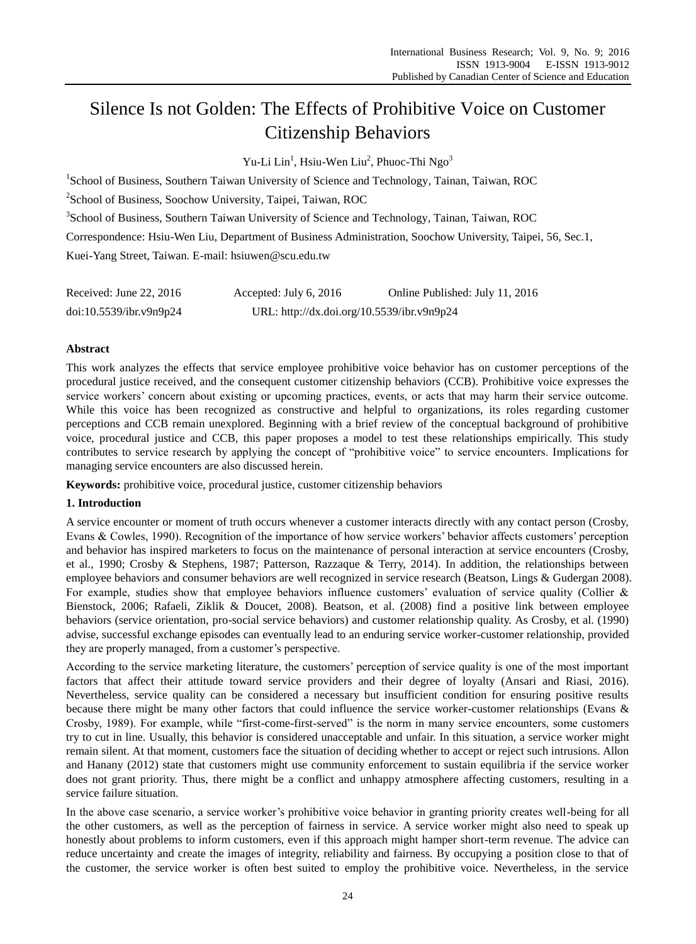# Silence Is not Golden: The Effects of Prohibitive Voice on Customer Citizenship Behaviors

Yu-Li Lin<sup>1</sup>, Hsiu-Wen Liu<sup>2</sup>, Phuoc-Thi Ngo<sup>3</sup>

<sup>1</sup>School of Business, Southern Taiwan University of Science and Technology, Tainan, Taiwan, ROC <sup>2</sup>School of Business, Soochow University, Taipei, Taiwan, ROC <sup>3</sup>School of Business, Southern Taiwan University of Science and Technology, Tainan, Taiwan, ROC Correspondence: Hsiu-Wen Liu, Department of Business Administration, Soochow University, Taipei, 56, Sec.1, Kuei-Yang Street, Taiwan. E-mail: hsiuwen@scu.edu.tw

| Received: June $22, 2016$ | Accepted: July $6, 2016$                   | Online Published: July 11, 2016 |
|---------------------------|--------------------------------------------|---------------------------------|
| doi:10.5539/ibr.v9n9p24   | URL: http://dx.doi.org/10.5539/ibr.v9n9p24 |                                 |

# **Abstract**

This work analyzes the effects that service employee prohibitive voice behavior has on customer perceptions of the procedural justice received, and the consequent customer citizenship behaviors (CCB). Prohibitive voice expresses the service workers' concern about existing or upcoming practices, events, or acts that may harm their service outcome. While this voice has been recognized as constructive and helpful to organizations, its roles regarding customer perceptions and CCB remain unexplored. Beginning with a brief review of the conceptual background of prohibitive voice, procedural justice and CCB, this paper proposes a model to test these relationships empirically. This study contributes to service research by applying the concept of "prohibitive voice" to service encounters. Implications for managing service encounters are also discussed herein.

**Keywords:** prohibitive voice, procedural justice, customer citizenship behaviors

## **1. Introduction**

A service encounter or moment of truth occurs whenever a customer interacts directly with any contact person (Crosby, Evans & Cowles, 1990). Recognition of the importance of how service workers" behavior affects customers" perception and behavior has inspired marketers to focus on the maintenance of personal interaction at service encounters (Crosby, et al., 1990; Crosby & Stephens, 1987; Patterson, Razzaque & Terry, 2014). In addition, the relationships between employee behaviors and consumer behaviors are well recognized in service research (Beatson, Lings & Gudergan 2008). For example, studies show that employee behaviors influence customers' evaluation of service quality (Collier  $\&$ Bienstock, 2006; Rafaeli, Ziklik & Doucet, 2008). Beatson, et al. (2008) find a positive link between employee behaviors (service orientation, pro-social service behaviors) and customer relationship quality. As Crosby, et al. (1990) advise, successful exchange episodes can eventually lead to an enduring service worker-customer relationship, provided they are properly managed, from a customer's perspective.

According to the service marketing literature, the customers" perception of service quality is one of the most important factors that affect their attitude toward service providers and their degree of loyalty (Ansari and Riasi, 2016). Nevertheless, service quality can be considered a necessary but insufficient condition for ensuring positive results because there might be many other factors that could influence the service worker-customer relationships (Evans & Crosby, 1989). For example, while "first-come-first-served" is the norm in many service encounters, some customers try to cut in line. Usually, this behavior is considered unacceptable and unfair. In this situation, a service worker might remain silent. At that moment, customers face the situation of deciding whether to accept or reject such intrusions. Allon and Hanany (2012) state that customers might use community enforcement to sustain equilibria if the service worker does not grant priority. Thus, there might be a conflict and unhappy atmosphere affecting customers, resulting in a service failure situation.

In the above case scenario, a service worker"s prohibitive voice behavior in granting priority creates well-being for all the other customers, as well as the perception of fairness in service. A service worker might also need to speak up honestly about problems to inform customers, even if this approach might hamper short-term revenue. The advice can reduce uncertainty and create the images of integrity, reliability and fairness. By occupying a position close to that of the customer, the service worker is often best suited to employ the prohibitive voice. Nevertheless, in the service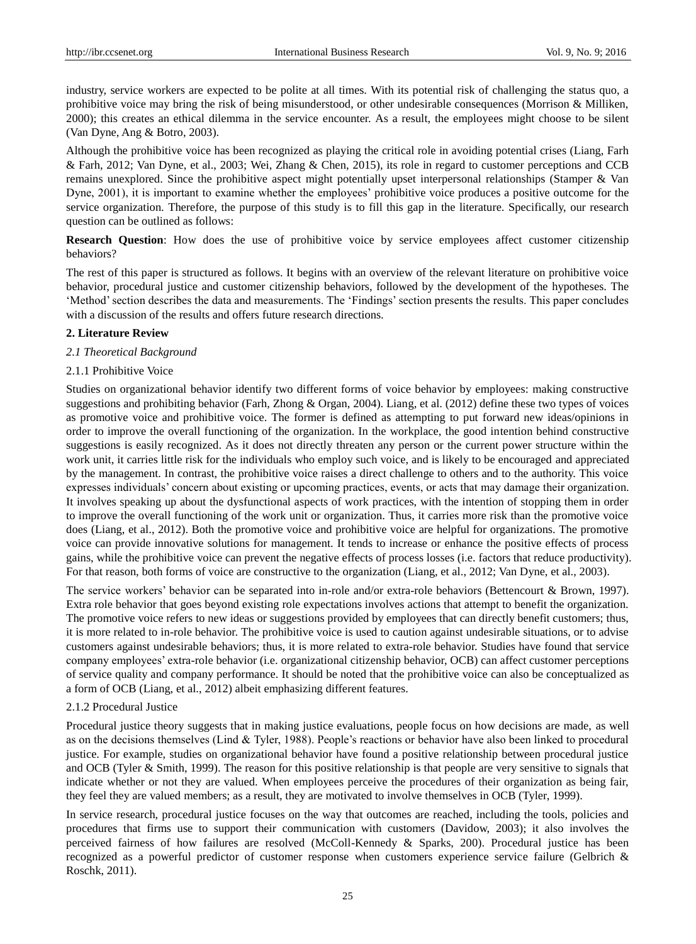industry, service workers are expected to be polite at all times. With its potential risk of challenging the status quo, a prohibitive voice may bring the risk of being misunderstood, or other undesirable consequences (Morrison & Milliken, 2000); this creates an ethical dilemma in the service encounter. As a result, the employees might choose to be silent (Van Dyne, Ang & Botro, 2003).

Although the prohibitive voice has been recognized as playing the critical role in avoiding potential crises (Liang, Farh & Farh, 2012; Van Dyne, et al., 2003; Wei, Zhang & Chen, 2015), its role in regard to customer perceptions and CCB remains unexplored. Since the prohibitive aspect might potentially upset interpersonal relationships (Stamper & Van Dyne, 2001), it is important to examine whether the employees' prohibitive voice produces a positive outcome for the service organization. Therefore, the purpose of this study is to fill this gap in the literature. Specifically, our research question can be outlined as follows:

**Research Question**: How does the use of prohibitive voice by service employees affect customer citizenship behaviors?

The rest of this paper is structured as follows. It begins with an overview of the relevant literature on prohibitive voice behavior, procedural justice and customer citizenship behaviors, followed by the development of the hypotheses. The "Method" section describes the data and measurements. The "Findings" section presents the results. This paper concludes with a discussion of the results and offers future research directions.

## **2. Literature Review**

#### *2.1 Theoretical Background*

#### 2.1.1 Prohibitive Voice

Studies on organizational behavior identify two different forms of voice behavior by employees: making constructive suggestions and prohibiting behavior (Farh, Zhong & Organ, 2004). Liang, et al. (2012) define these two types of voices as promotive voice and prohibitive voice. The former is defined as attempting to put forward new ideas/opinions in order to improve the overall functioning of the organization. In the workplace, the good intention behind constructive suggestions is easily recognized. As it does not directly threaten any person or the current power structure within the work unit, it carries little risk for the individuals who employ such voice, and is likely to be encouraged and appreciated by the management. In contrast, the prohibitive voice raises a direct challenge to others and to the authority. This voice expresses individuals" concern about existing or upcoming practices, events, or acts that may damage their organization. It involves speaking up about the dysfunctional aspects of work practices, with the intention of stopping them in order to improve the overall functioning of the work unit or organization. Thus, it carries more risk than the promotive voice does (Liang, et al., 2012). Both the promotive voice and prohibitive voice are helpful for organizations. The promotive voice can provide innovative solutions for management. It tends to increase or enhance the positive effects of process gains, while the prohibitive voice can prevent the negative effects of process losses (i.e. factors that reduce productivity). For that reason, both forms of voice are constructive to the organization (Liang, et al., 2012; Van Dyne, et al., 2003).

The service workers" behavior can be separated into in-role and/or extra-role behaviors (Bettencourt & Brown, 1997). Extra role behavior that goes beyond existing role expectations involves actions that attempt to benefit the organization. The promotive voice refers to new ideas or suggestions provided by employees that can directly benefit customers; thus, it is more related to in-role behavior. The prohibitive voice is used to caution against undesirable situations, or to advise customers against undesirable behaviors; thus, it is more related to extra-role behavior. Studies have found that service company employees" extra-role behavior (i.e. organizational citizenship behavior, OCB) can affect customer perceptions of service quality and company performance. It should be noted that the prohibitive voice can also be conceptualized as a form of OCB (Liang, et al., 2012) albeit emphasizing different features.

#### 2.1.2 Procedural Justice

Procedural justice theory suggests that in making justice evaluations, people focus on how decisions are made, as well as on the decisions themselves (Lind & Tyler, 1988). People's reactions or behavior have also been linked to procedural justice. For example, studies on organizational behavior have found a positive relationship between procedural justice and OCB (Tyler & Smith, 1999). The reason for this positive relationship is that people are very sensitive to signals that indicate whether or not they are valued. When employees perceive the procedures of their organization as being fair, they feel they are valued members; as a result, they are motivated to involve themselves in OCB (Tyler, 1999).

In service research, procedural justice focuses on the way that outcomes are reached, including the tools, policies and procedures that firms use to support their communication with customers (Davidow, 2003); it also involves the perceived fairness of how failures are resolved (McColl-Kennedy & Sparks, 200). Procedural justice has been recognized as a powerful predictor of customer response when customers experience service failure (Gelbrich & Roschk, 2011).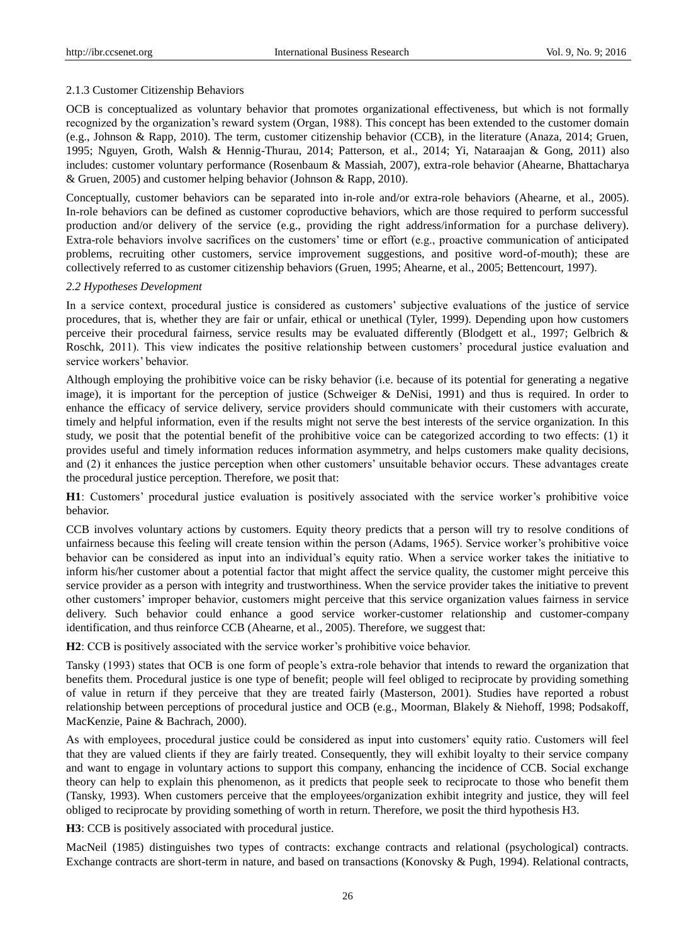#### 2.1.3 Customer Citizenship Behaviors

OCB is conceptualized as voluntary behavior that promotes organizational effectiveness, but which is not formally recognized by the organization"s reward system (Organ, 1988). This concept has been extended to the customer domain (e.g., Johnson & Rapp, 2010). The term, customer citizenship behavior (CCB), in the literature (Anaza, 2014; Gruen, 1995; Nguyen, Groth, Walsh & Hennig-Thurau, 2014; Patterson, et al., 2014; Yi, Nataraajan & Gong, 2011) also includes: customer voluntary performance (Rosenbaum & Massiah, 2007), extra-role behavior (Ahearne, Bhattacharya & Gruen, 2005) and customer helping behavior (Johnson & Rapp, 2010).

Conceptually, customer behaviors can be separated into in-role and/or extra-role behaviors (Ahearne, et al., 2005). In-role behaviors can be defined as customer coproductive behaviors, which are those required to perform successful production and/or delivery of the service (e.g., providing the right address/information for a purchase delivery). Extra-role behaviors involve sacrifices on the customers" time or effort (e.g., proactive communication of anticipated problems, recruiting other customers, service improvement suggestions, and positive word-of-mouth); these are collectively referred to as customer citizenship behaviors (Gruen, 1995; Ahearne, et al., 2005; Bettencourt, 1997).

#### *2.2 Hypotheses Development*

In a service context, procedural justice is considered as customers" subjective evaluations of the justice of service procedures, that is, whether they are fair or unfair, ethical or unethical (Tyler, 1999). Depending upon how customers perceive their procedural fairness, service results may be evaluated differently (Blodgett et al., 1997; Gelbrich & Roschk, 2011). This view indicates the positive relationship between customers" procedural justice evaluation and service workers' behavior.

Although employing the prohibitive voice can be risky behavior (i.e. because of its potential for generating a negative image), it is important for the perception of justice (Schweiger & DeNisi, 1991) and thus is required. In order to enhance the efficacy of service delivery, service providers should communicate with their customers with accurate, timely and helpful information, even if the results might not serve the best interests of the service organization. In this study, we posit that the potential benefit of the prohibitive voice can be categorized according to two effects: (1) it provides useful and timely information reduces information asymmetry, and helps customers make quality decisions, and (2) it enhances the justice perception when other customers" unsuitable behavior occurs. These advantages create the procedural justice perception. Therefore, we posit that:

**H1**: Customers" procedural justice evaluation is positively associated with the service worker"s prohibitive voice behavior.

CCB involves voluntary actions by customers. Equity theory predicts that a person will try to resolve conditions of unfairness because this feeling will create tension within the person (Adams, 1965). Service worker"s prohibitive voice behavior can be considered as input into an individual's equity ratio. When a service worker takes the initiative to inform his/her customer about a potential factor that might affect the service quality, the customer might perceive this service provider as a person with integrity and trustworthiness. When the service provider takes the initiative to prevent other customers" improper behavior, customers might perceive that this service organization values fairness in service delivery. Such behavior could enhance a good service worker-customer relationship and customer-company identification, and thus reinforce CCB (Ahearne, et al., 2005). Therefore, we suggest that:

**H2**: CCB is positively associated with the service worker's prohibitive voice behavior.

Tansky (1993) states that OCB is one form of people"s extra-role behavior that intends to reward the organization that benefits them. Procedural justice is one type of benefit; people will feel obliged to reciprocate by providing something of value in return if they perceive that they are treated fairly (Masterson, 2001). Studies have reported a robust relationship between perceptions of procedural justice and OCB (e.g., Moorman, Blakely & Niehoff, 1998; Podsakoff, MacKenzie, Paine & Bachrach, 2000).

As with employees, procedural justice could be considered as input into customers" equity ratio. Customers will feel that they are valued clients if they are fairly treated. Consequently, they will exhibit loyalty to their service company and want to engage in voluntary actions to support this company, enhancing the incidence of CCB. Social exchange theory can help to explain this phenomenon, as it predicts that people seek to reciprocate to those who benefit them (Tansky, 1993). When customers perceive that the employees/organization exhibit integrity and justice, they will feel obliged to reciprocate by providing something of worth in return. Therefore, we posit the third hypothesis H3.

**H3**: CCB is positively associated with procedural justice.

MacNeil (1985) distinguishes two types of contracts: exchange contracts and relational (psychological) contracts. Exchange contracts are short-term in nature, and based on transactions (Konovsky & Pugh, 1994). Relational contracts,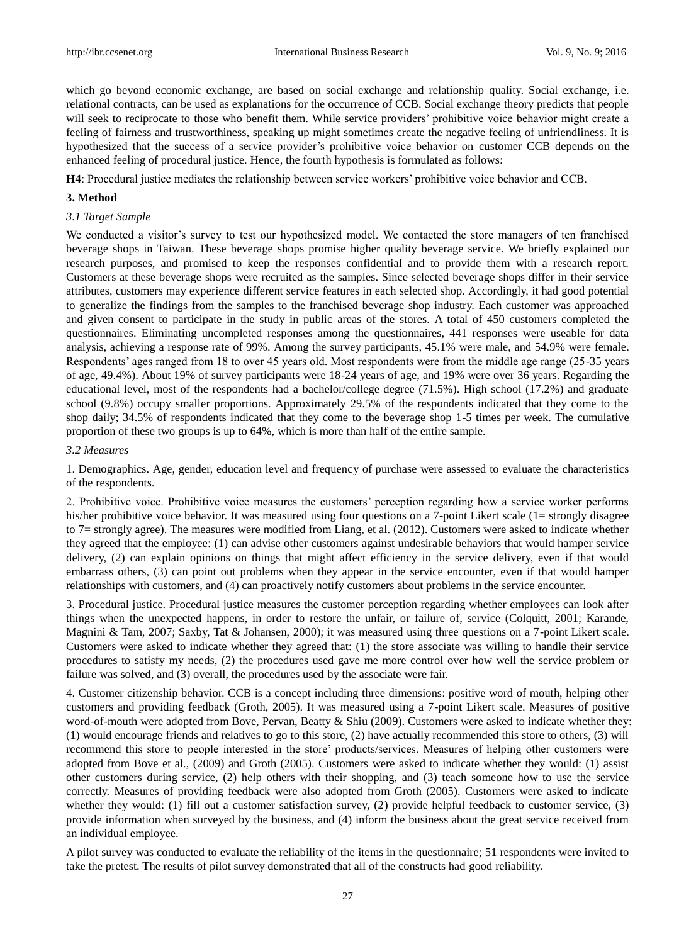which go beyond economic exchange, are based on social exchange and relationship quality. Social exchange, i.e. relational contracts, can be used as explanations for the occurrence of CCB. Social exchange theory predicts that people will seek to reciprocate to those who benefit them. While service providers' prohibitive voice behavior might create a feeling of fairness and trustworthiness, speaking up might sometimes create the negative feeling of unfriendliness. It is hypothesized that the success of a service provider"s prohibitive voice behavior on customer CCB depends on the enhanced feeling of procedural justice. Hence, the fourth hypothesis is formulated as follows:

**H4**: Procedural justice mediates the relationship between service workers" prohibitive voice behavior and CCB.

## **3. Method**

## *3.1 Target Sample*

We conducted a visitor's survey to test our hypothesized model. We contacted the store managers of ten franchised beverage shops in Taiwan. These beverage shops promise higher quality beverage service. We briefly explained our research purposes, and promised to keep the responses confidential and to provide them with a research report. Customers at these beverage shops were recruited as the samples. Since selected beverage shops differ in their service attributes, customers may experience different service features in each selected shop. Accordingly, it had good potential to generalize the findings from the samples to the franchised beverage shop industry. Each customer was approached and given consent to participate in the study in public areas of the stores. A total of 450 customers completed the questionnaires. Eliminating uncompleted responses among the questionnaires, 441 responses were useable for data analysis, achieving a response rate of 99%. Among the survey participants, 45.1% were male, and 54.9% were female. Respondents' ages ranged from 18 to over 45 years old. Most respondents were from the middle age range (25-35 years of age, 49.4%). About 19% of survey participants were 18-24 years of age, and 19% were over 36 years. Regarding the educational level, most of the respondents had a bachelor/college degree (71.5%). High school (17.2%) and graduate school (9.8%) occupy smaller proportions. Approximately 29.5% of the respondents indicated that they come to the shop daily; 34.5% of respondents indicated that they come to the beverage shop 1-5 times per week. The cumulative proportion of these two groups is up to 64%, which is more than half of the entire sample.

## *3.2 Measures*

1. Demographics. Age, gender, education level and frequency of purchase were assessed to evaluate the characteristics of the respondents.

2. Prohibitive voice. Prohibitive voice measures the customers" perception regarding how a service worker performs his/her prohibitive voice behavior. It was measured using four questions on a 7-point Likert scale (1= strongly disagree to 7= strongly agree). The measures were modified from Liang, et al. (2012). Customers were asked to indicate whether they agreed that the employee: (1) can advise other customers against undesirable behaviors that would hamper service delivery, (2) can explain opinions on things that might affect efficiency in the service delivery, even if that would embarrass others, (3) can point out problems when they appear in the service encounter, even if that would hamper relationships with customers, and (4) can proactively notify customers about problems in the service encounter.

3. Procedural justice. Procedural justice measures the customer perception regarding whether employees can look after things when the unexpected happens, in order to restore the unfair, or failure of, service (Colquitt, 2001; Karande, Magnini & Tam, 2007; Saxby, Tat & Johansen, 2000); it was measured using three questions on a 7-point Likert scale. Customers were asked to indicate whether they agreed that: (1) the store associate was willing to handle their service procedures to satisfy my needs, (2) the procedures used gave me more control over how well the service problem or failure was solved, and (3) overall, the procedures used by the associate were fair.

4. Customer citizenship behavior. CCB is a concept including three dimensions: positive word of mouth, helping other customers and providing feedback (Groth, 2005). It was measured using a 7-point Likert scale. Measures of positive word-of-mouth were adopted from Bove, Pervan, Beatty & Shiu (2009). Customers were asked to indicate whether they: (1) would encourage friends and relatives to go to this store, (2) have actually recommended this store to others, (3) will recommend this store to people interested in the store" products/services. Measures of helping other customers were adopted from Bove et al., (2009) and Groth (2005). Customers were asked to indicate whether they would: (1) assist other customers during service, (2) help others with their shopping, and (3) teach someone how to use the service correctly. Measures of providing feedback were also adopted from Groth (2005). Customers were asked to indicate whether they would: (1) fill out a customer satisfaction survey, (2) provide helpful feedback to customer service, (3) provide information when surveyed by the business, and (4) inform the business about the great service received from an individual employee.

A pilot survey was conducted to evaluate the reliability of the items in the questionnaire; 51 respondents were invited to take the pretest. The results of pilot survey demonstrated that all of the constructs had good reliability.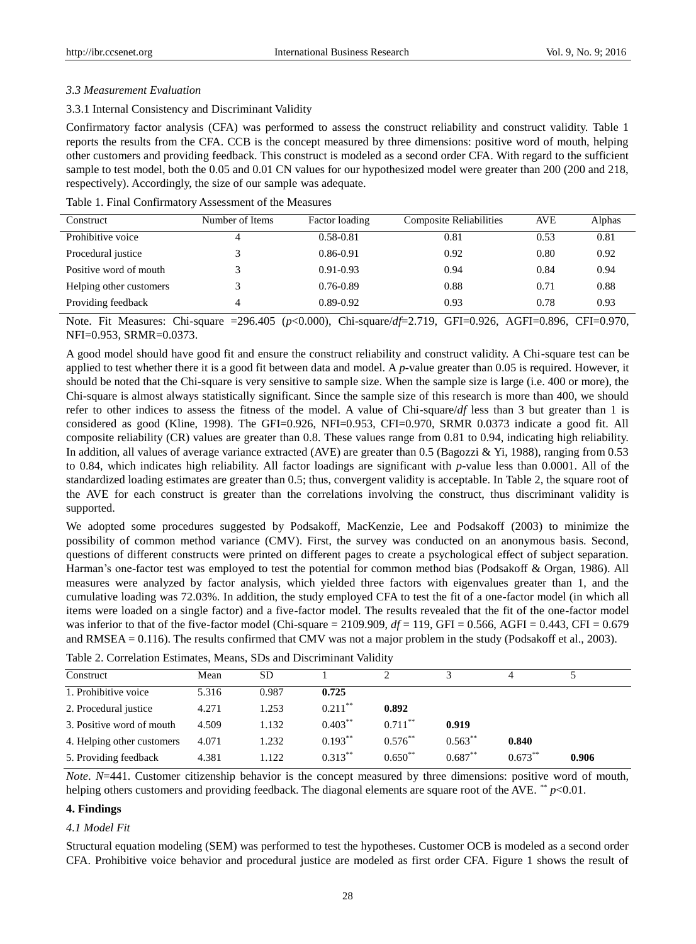#### *3.3 Measurement Evaluation*

## 3.3.1 Internal Consistency and Discriminant Validity

Confirmatory factor analysis (CFA) was performed to assess the construct reliability and construct validity. Table 1 reports the results from the CFA. CCB is the concept measured by three dimensions: positive word of mouth, helping other customers and providing feedback. This construct is modeled as a second order CFA. With regard to the sufficient sample to test model, both the 0.05 and 0.01 CN values for our hypothesized model were greater than 200 (200 and 218, respectively). Accordingly, the size of our sample was adequate.

| Table 1. Final Confirmatory Assessment of the Measures |
|--------------------------------------------------------|
|--------------------------------------------------------|

| Construct               | Number of Items | Factor loading | <b>Composite Reliabilities</b> | <b>AVE</b> | Alphas |
|-------------------------|-----------------|----------------|--------------------------------|------------|--------|
| Prohibitive voice       | 4               | $0.58 - 0.81$  | 0.81                           | 0.53       | 0.81   |
| Procedural justice      |                 | $0.86 - 0.91$  | 0.92                           | 0.80       | 0.92   |
| Positive word of mouth  |                 | $0.91 - 0.93$  | 0.94                           | 0.84       | 0.94   |
| Helping other customers |                 | $0.76 - 0.89$  | 0.88                           | 0.71       | 0.88   |
| Providing feedback      | 4               | $0.89 - 0.92$  | 0.93                           | 0.78       | 0.93   |

Note. Fit Measures: Chi-square =296.405 (*p*<0.000), Chi-square/*df*=2.719, GFI=0.926, AGFI=0.896, CFI=0.970, NFI=0.953, SRMR=0.0373.

A good model should have good fit and ensure the construct reliability and construct validity. A Chi-square test can be applied to test whether there it is a good fit between data and model. A *p*-value greater than 0.05 is required. However, it should be noted that the Chi-square is very sensitive to sample size. When the sample size is large (i.e. 400 or more), the Chi-square is almost always statistically significant. Since the sample size of this research is more than 400, we should refer to other indices to assess the fitness of the model. A value of Chi-square/*df* less than 3 but greater than 1 is considered as good (Kline, 1998). The GFI=0.926, NFI=0.953, CFI=0.970, SRMR 0.0373 indicate a good fit. All composite reliability (CR) values are greater than 0.8. These values range from 0.81 to 0.94, indicating high reliability. In addition, all values of average variance extracted (AVE) are greater than 0.5 (Bagozzi & Yi, 1988), ranging from 0.53 to 0.84, which indicates high reliability. All factor loadings are significant with *p*-value less than 0.0001. All of the standardized loading estimates are greater than 0.5; thus, convergent validity is acceptable. In Table 2, the square root of the AVE for each construct is greater than the correlations involving the construct, thus discriminant validity is supported.

We adopted some procedures suggested by Podsakoff, MacKenzie, Lee and Podsakoff (2003) to minimize the possibility of common method variance (CMV). First, the survey was conducted on an anonymous basis. Second, questions of different constructs were printed on different pages to create a psychological effect of subject separation. Harman"s one-factor test was employed to test the potential for common method bias (Podsakoff & Organ, 1986). All measures were analyzed by factor analysis, which yielded three factors with eigenvalues greater than 1, and the cumulative loading was 72.03%. In addition, the study employed CFA to test the fit of a one-factor model (in which all items were loaded on a single factor) and a five-factor model. The results revealed that the fit of the one-factor model was inferior to that of the five-factor model (Chi-square = 2109.909, *df* = 119, GFI = 0.566, AGFI = 0.443, CFI = 0.679 and RMSEA = 0.116). The results confirmed that CMV was not a major problem in the study (Podsakoff et al., 2003).

| Construct                  | Mean  | <b>SD</b> |            |            |            |            |       |  |
|----------------------------|-------|-----------|------------|------------|------------|------------|-------|--|
| 1. Prohibitive voice       | 5.316 | 0.987     | 0.725      |            |            |            |       |  |
| 2. Procedural justice      | 4.271 | 1.253     | $0.211***$ | 0.892      |            |            |       |  |
| 3. Positive word of mouth  | 4.509 | 1.132     | $0.403***$ | $0.711***$ | 0.919      |            |       |  |
| 4. Helping other customers | 4.071 | 1.232     | $0.193***$ | $0.576***$ | $0.563***$ | 0.840      |       |  |
| 5. Providing feedback      | 4.381 | 1.122     | $0.313***$ | $0.650**$  | $0.687**$  | $0.673***$ | 0.906 |  |

*Note*. *N*=441. Customer citizenship behavior is the concept measured by three dimensions: positive word of mouth, helping others customers and providing feedback. The diagonal elements are square root of the AVE. \*\* *p*<0.01.

## **4. Findings**

#### *4.1 Model Fit*

Structural equation modeling (SEM) was performed to test the hypotheses. Customer OCB is modeled as a second order CFA. Prohibitive voice behavior and procedural justice are modeled as first order CFA. Figure 1 shows the result of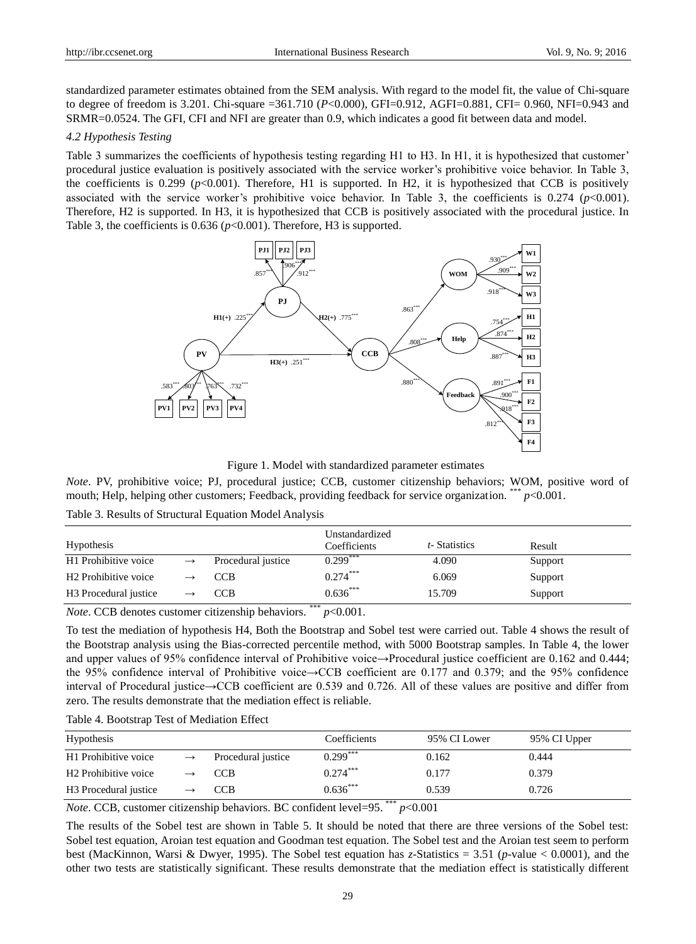standardized parameter estimates obtained from the SEM analysis. With regard to the model fit, the value of Chi-square to degree of freedom is 3.201. Chi-square =361.710 (*P*<0.000), GFI=0.912, AGFI=0.881, CFI= 0.960, NFI=0.943 and SRMR=0.0524. The GFI, CFI and NFI are greater than 0.9, which indicates a good fit between data and model.

## *4.2 Hypothesis Testing*

Table 3 summarizes the coefficients of hypothesis testing regarding H1 to H3. In H1, it is hypothesized that customer" procedural justice evaluation is positively associated with the service worker"s prohibitive voice behavior. In Table 3, the coefficients is 0.299 ( $p<0.001$ ). Therefore, H1 is supported. In H2, it is hypothesized that CCB is positively associated with the service worker"s prohibitive voice behavior. In Table 3, the coefficients is 0.274 (*p*<0.001). Therefore, H2 is supported. In H3, it is hypothesized that CCB is positively associated with the procedural justice. In Table 3, the coefficients is 0.636 ( $p$ <0.001). Therefore, H3 is supported.



Figure 1. Model with standardized parameter estimates

*Note*. PV, prohibitive voice; PJ, procedural justice; CCB, customer citizenship behaviors; WOM, positive word of mouth; Help, helping other customers; Feedback, providing feedback for service organization. \*\*\*  $p<0.001$ .

Table 3. Results of Structural Equation Model Analysis

| Hypothesis                        |               |                    | Unstandardized<br>Coefficients | t-Statistics | Result  |
|-----------------------------------|---------------|--------------------|--------------------------------|--------------|---------|
| H1 Prohibitive voice              | $\rightarrow$ | Procedural justice | $0.299***$                     | 4.090        | Support |
| H <sub>2</sub> Prohibitive voice  |               | <b>CCB</b>         | $0.274***$                     | 6.069        | Support |
| H <sub>3</sub> Procedural justice |               | <b>CCB</b>         | $0.636***$                     | 15.709       | Support |

*Note*. CCB denotes customer citizenship behaviors. \*\*\* *p*<0.001.

To test the mediation of hypothesis H4, Both the Bootstrap and Sobel test were carried out. Table 4 shows the result of the Bootstrap analysis using the Bias-corrected percentile method, with 5000 Bootstrap samples. In Table 4, the lower and upper values of 95% confidence interval of Prohibitive voice→Procedural justice coefficient are 0.162 and 0.444; the 95% confidence interval of Prohibitive voice→CCB coefficient are 0.177 and 0.379; and the 95% confidence interval of Procedural justice→CCB coefficient are 0.539 and 0.726. All of these values are positive and differ from zero. The results demonstrate that the mediation effect is reliable.

Table 4. Bootstrap Test of Mediation Effect

| Hypothesis                        |               |                    | Coefficients | 95% CI Lower | 95% CI Upper |
|-----------------------------------|---------------|--------------------|--------------|--------------|--------------|
| H <sub>1</sub> Prohibitive voice  | $\rightarrow$ | Procedural justice | $0.299***$   | 0.162        | 0.444        |
| H <sub>2</sub> Prohibitive voice  |               | <b>CCB</b>         | $0.274***$   | 0.177        | 0.379        |
| H <sub>3</sub> Procedural justice |               | <b>CCB</b>         | $0.636***$   | 0.539        | 0.726        |

*Note*. CCB, customer citizenship behaviors. BC confident level=95. *p*<0.001

The results of the Sobel test are shown in Table 5. It should be noted that there are three versions of the Sobel test: Sobel test equation, Aroian test equation and Goodman test equation. The Sobel test and the Aroian test seem to perform best (MacKinnon, Warsi & Dwyer, 1995). The Sobel test equation has *z*-Statistics = 3.51 (*p*-value < 0.0001), and the other two tests are statistically significant. These results demonstrate that the mediation effect is statistically different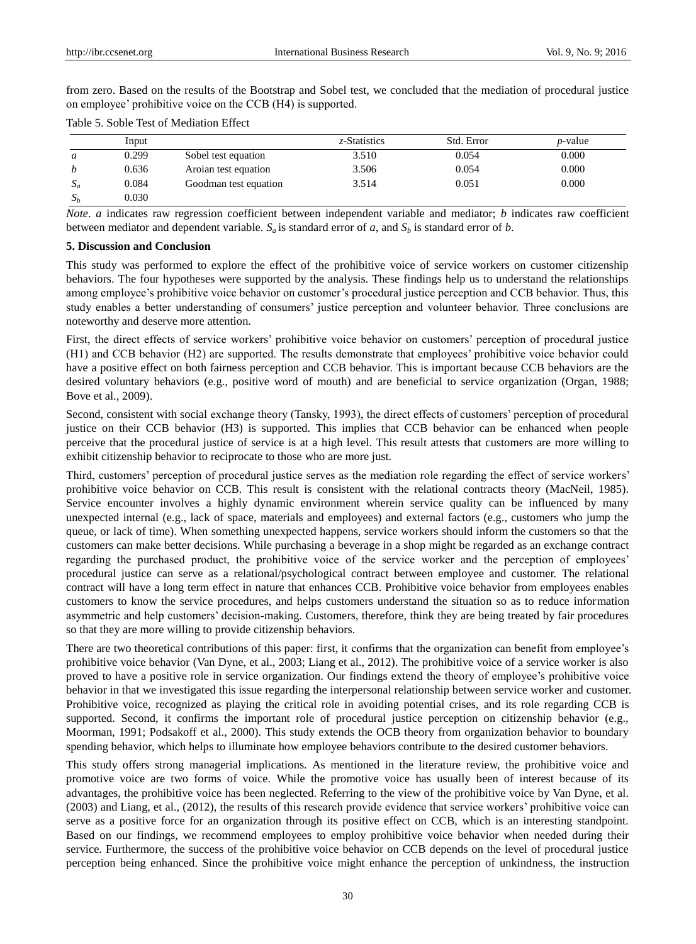from zero. Based on the results of the Bootstrap and Sobel test, we concluded that the mediation of procedural justice on employee" prohibitive voice on the CCB (H4) is supported.

|       | Input |                       | z-Statistics | Std. Error | <i>p</i> -value |
|-------|-------|-----------------------|--------------|------------|-----------------|
| a     | 0.299 | Sobel test equation   | 3.510        | 0.054      | 0.000           |
|       | 0.636 | Aroian test equation  | 3.506        | 0.054      | 0.000           |
| $S_a$ | 0.084 | Goodman test equation | 3.514        | 0.051      | 0.000           |
| $S_h$ | 0.030 |                       |              |            |                 |

*Note*. *a* indicates raw regression coefficient between independent variable and mediator; *b* indicates raw coefficient between mediator and dependent variable.  $S_a$  is standard error of *a*, and  $S_b$  is standard error of *b*.

## **5. Discussion and Conclusion**

This study was performed to explore the effect of the prohibitive voice of service workers on customer citizenship behaviors. The four hypotheses were supported by the analysis. These findings help us to understand the relationships among employee's prohibitive voice behavior on customer's procedural justice perception and CCB behavior. Thus, this study enables a better understanding of consumers' justice perception and volunteer behavior. Three conclusions are noteworthy and deserve more attention.

First, the direct effects of service workers" prohibitive voice behavior on customers" perception of procedural justice (H1) and CCB behavior (H2) are supported. The results demonstrate that employees" prohibitive voice behavior could have a positive effect on both fairness perception and CCB behavior. This is important because CCB behaviors are the desired voluntary behaviors (e.g., positive word of mouth) and are beneficial to service organization (Organ, 1988; Bove et al., 2009).

Second, consistent with social exchange theory (Tansky, 1993), the direct effects of customers" perception of procedural justice on their CCB behavior (H3) is supported. This implies that CCB behavior can be enhanced when people perceive that the procedural justice of service is at a high level. This result attests that customers are more willing to exhibit citizenship behavior to reciprocate to those who are more just.

Third, customers" perception of procedural justice serves as the mediation role regarding the effect of service workers" prohibitive voice behavior on CCB. This result is consistent with the relational contracts theory (MacNeil, 1985). Service encounter involves a highly dynamic environment wherein service quality can be influenced by many unexpected internal (e.g., lack of space, materials and employees) and external factors (e.g., customers who jump the queue, or lack of time). When something unexpected happens, service workers should inform the customers so that the customers can make better decisions. While purchasing a beverage in a shop might be regarded as an exchange contract regarding the purchased product, the prohibitive voice of the service worker and the perception of employees" procedural justice can serve as a relational/psychological contract between employee and customer. The relational contract will have a long term effect in nature that enhances CCB. Prohibitive voice behavior from employees enables customers to know the service procedures, and helps customers understand the situation so as to reduce information asymmetric and help customers" decision-making. Customers, therefore, think they are being treated by fair procedures so that they are more willing to provide citizenship behaviors.

There are two theoretical contributions of this paper: first, it confirms that the organization can benefit from employee's prohibitive voice behavior (Van Dyne, et al., 2003; Liang et al., 2012). The prohibitive voice of a service worker is also proved to have a positive role in service organization. Our findings extend the theory of employee"s prohibitive voice behavior in that we investigated this issue regarding the interpersonal relationship between service worker and customer. Prohibitive voice, recognized as playing the critical role in avoiding potential crises, and its role regarding CCB is supported. Second, it confirms the important role of procedural justice perception on citizenship behavior (e.g., Moorman, 1991; Podsakoff et al., 2000). This study extends the OCB theory from organization behavior to boundary spending behavior, which helps to illuminate how employee behaviors contribute to the desired customer behaviors.

This study offers strong managerial implications. As mentioned in the literature review, the prohibitive voice and promotive voice are two forms of voice. While the promotive voice has usually been of interest because of its advantages, the prohibitive voice has been neglected. Referring to the view of the prohibitive voice by Van Dyne, et al. (2003) and Liang, et al., (2012), the results of this research provide evidence that service workers" prohibitive voice can serve as a positive force for an organization through its positive effect on CCB, which is an interesting standpoint. Based on our findings, we recommend employees to employ prohibitive voice behavior when needed during their service. Furthermore, the success of the prohibitive voice behavior on CCB depends on the level of procedural justice perception being enhanced. Since the prohibitive voice might enhance the perception of unkindness, the instruction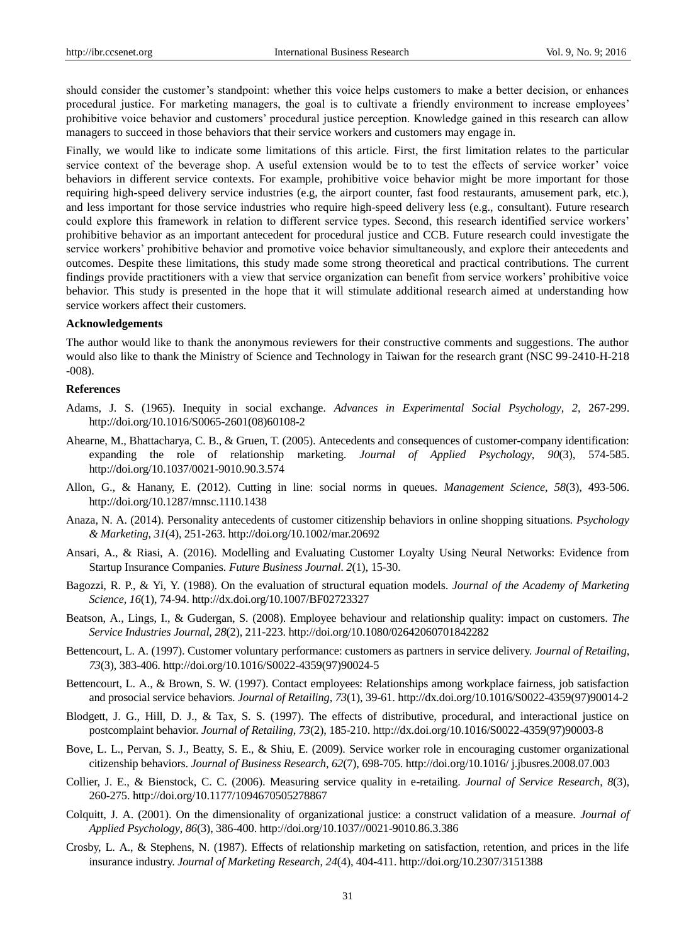should consider the customer"s standpoint: whether this voice helps customers to make a better decision, or enhances procedural justice. For marketing managers, the goal is to cultivate a friendly environment to increase employees" prohibitive voice behavior and customers" procedural justice perception. Knowledge gained in this research can allow managers to succeed in those behaviors that their service workers and customers may engage in.

Finally, we would like to indicate some limitations of this article. First, the first limitation relates to the particular service context of the beverage shop. A useful extension would be to to test the effects of service worker" voice behaviors in different service contexts. For example, prohibitive voice behavior might be more important for those requiring high-speed delivery service industries (e.g, the airport counter, fast food restaurants, amusement park, etc.), and less important for those service industries who require high-speed delivery less (e.g., consultant). Future research could explore this framework in relation to different service types. Second, this research identified service workers" prohibitive behavior as an important antecedent for procedural justice and CCB. Future research could investigate the service workers" prohibitive behavior and promotive voice behavior simultaneously, and explore their antecedents and outcomes. Despite these limitations, this study made some strong theoretical and practical contributions. The current findings provide practitioners with a view that service organization can benefit from service workers" prohibitive voice behavior. This study is presented in the hope that it will stimulate additional research aimed at understanding how service workers affect their customers.

#### **Acknowledgements**

The author would like to thank the anonymous reviewers for their constructive comments and suggestions. The author would also like to thank the Ministry of Science and Technology in Taiwan for the research grant (NSC 99-2410-H-218 -008).

#### **References**

- Adams, J. S. (1965). Inequity in social exchange. *Advances in Experimental Social Psychology*, *2*, 267-299. http://doi.org/10.1016/S0065-2601(08)60108-2
- Ahearne, M., Bhattacharya, C. B., & Gruen, T. (2005). Antecedents and consequences of customer-company identification: expanding the role of relationship marketing. *Journal of Applied Psychology*, *90*(3), 574-585. http://doi.org/10.1037/0021-9010.90.3.574
- Allon, G., & Hanany, E. (2012). Cutting in line: social norms in queues. *Management Science*, *58*(3), 493-506. http://doi.org/10.1287/mnsc.1110.1438
- Anaza, N. A. (2014). Personality antecedents of customer citizenship behaviors in online shopping situations. *Psychology & Marketing*, *31*(4), 251-263. http://doi.org/10.1002/mar.20692
- Ansari, A., & Riasi, A. (2016). Modelling and Evaluating Customer Loyalty Using Neural Networks: Evidence from Startup Insurance Companies. *Future Business Journal*. *2*(1), 15-30.
- Bagozzi, R. P., & Yi, Y. (1988). On the evaluation of structural equation models. *Journal of the Academy of Marketing Science, 16*(1), 74-94[. http://dx.doi.org/10.1007/BF02723327](http://dx.doi.org/10.1007/BF02723327)
- Beatson, A., Lings, I., & Gudergan, S. (2008). Employee behaviour and relationship quality: impact on customers. *The Service Industries Journal*, *28*(2), 211-223. http://doi.org/10.1080/02642060701842282
- Bettencourt, L. A. (1997). Customer voluntary performance: customers as partners in service delivery. *Journal of Retailing*, *73*(3), 383-406. http://doi.org/10.1016/S0022-4359(97)90024-5
- Bettencourt, L. A., & Brown, S. W. (1997). Contact employees: Relationships among workplace fairness, job satisfaction and prosocial service behaviors. *Journal of Retailing*, *73*(1), 39-61[. http://dx.doi.org/10.1016/S0022-4359\(97\)90014-2](http://dx.doi.org/10.1016/S0022-4359%2897%2990014-2)
- Blodgett, J. G., Hill, D. J., & Tax, S. S. (1997). The effects of distributive, procedural, and interactional justice on postcomplaint behavior. *Journal of Retailing*, *73*(2), 185-210. [http://dx.doi.org/10.1016/S0022-4359\(97\)90003-8](http://dx.doi.org/10.1016/S0022-4359%2897%2990003-8)
- Bove, L. L., Pervan, S. J., Beatty, S. E., & Shiu, E. (2009). Service worker role in encouraging customer organizational citizenship behaviors. *Journal of Business Research*, *62*(7), 698-705. http://doi.org/10.1016/ j.jbusres.2008.07.003
- Collier, J. E., & Bienstock, C. C. (2006). Measuring service quality in e-retailing. *Journal of Service Research*, *8*(3), 260-275. http://doi.org/10.1177/1094670505278867
- Colquitt, J. A. (2001). On the dimensionality of organizational justice: a construct validation of a measure. *Journal of Applied Psychology*, *86*(3), 386-400. http://doi.org/10.1037//0021-9010.86.3.386
- Crosby, L. A., & Stephens, N. (1987). Effects of relationship marketing on satisfaction, retention, and prices in the life insurance industry. *Journal of Marketing Research*, *24*(4), 404-411. http://doi.org/10.2307/3151388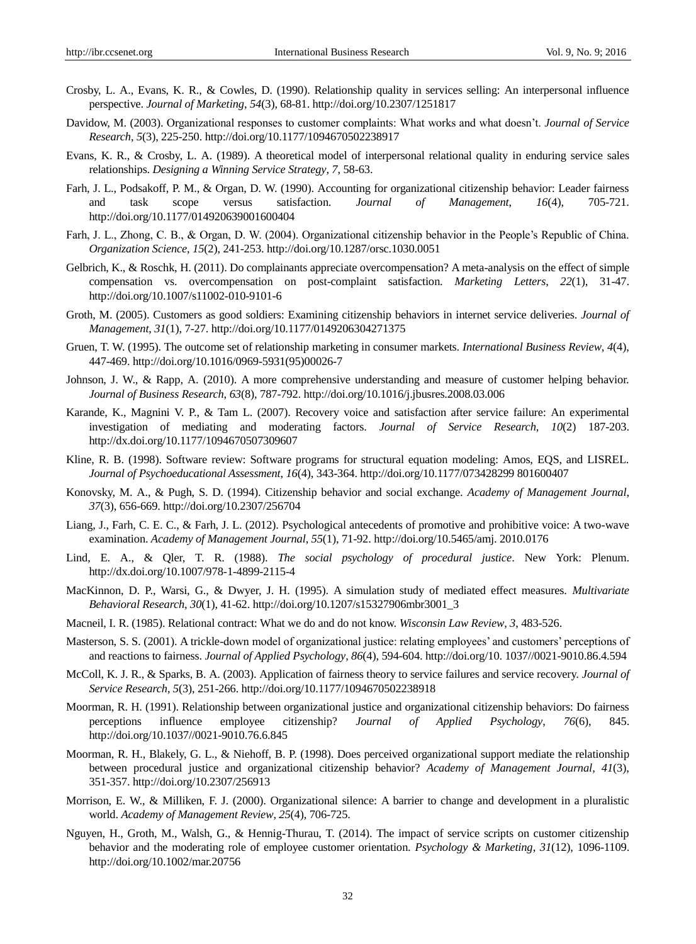- Crosby, L. A., Evans, K. R., & Cowles, D. (1990). Relationship quality in services selling: An interpersonal influence perspective. *Journal of Marketing*, *54*(3), 68-81. http://doi.org/10.2307/1251817
- Davidow, M. (2003). Organizational responses to customer complaints: What works and what doesn"t. *Journal of Service Research*, *5*(3), 225-250. http://doi.org/10.1177/1094670502238917
- Evans, K. R., & Crosby, L. A. (1989). A theoretical model of interpersonal relational quality in enduring service sales relationships. *Designing a Winning Service Strategy*, *7*, 58-63.
- Farh, J. L., Podsakoff, P. M., & Organ, D. W. (1990). Accounting for organizational citizenship behavior: Leader fairness and task scope versus satisfaction. *Journal of Management*, *16*(4), 705-721. http://doi.org/10.1177/014920639001600404
- Farh, J. L., Zhong, C. B., & Organ, D. W. (2004). Organizational citizenship behavior in the People"s Republic of China. *Organization Science*, *15*(2), 241-253. http://doi.org/10.1287/orsc.1030.0051
- Gelbrich, K., & Roschk, H. (2011). Do complainants appreciate overcompensation? A meta-analysis on the effect of simple compensation vs. overcompensation on post-complaint satisfaction. *Marketing Letters*, *22*(1), 31-47. http://doi.org/10.1007/s11002-010-9101-6
- Groth, M. (2005). Customers as good soldiers: Examining citizenship behaviors in internet service deliveries. *Journal of Management*, *31*(1), 7-27. http://doi.org/10.1177/0149206304271375
- Gruen, T. W. (1995). The outcome set of relationship marketing in consumer markets. *International Business Review*, *4*(4), 447-469. http://doi.org/10.1016/0969-5931(95)00026-7
- Johnson, J. W., & Rapp, A. (2010). A more comprehensive understanding and measure of customer helping behavior. *Journal of Business Research*, *63*(8), 787-792. http://doi.org/10.1016/j.jbusres.2008.03.006
- Karande, K., Magnini V. P., & Tam L. (2007). Recovery voice and satisfaction after service failure: An experimental investigation of mediating and moderating factors. *Journal of Service Research*, *10*(2) 187-203. http://dx.doi.org/10.1177/1094670507309607
- Kline, R. B. (1998). Software review: Software programs for structural equation modeling: Amos, EQS, and LISREL. *Journal of Psychoeducational Assessment*, *16*(4), 343-364. http://doi.org/10.1177/073428299 801600407
- Konovsky, M. A., & Pugh, S. D. (1994). Citizenship behavior and social exchange. *Academy of Management Journal*, *37*(3), 656-669. http://doi.org/10.2307/256704
- Liang, J., Farh, C. E. C., & Farh, J. L. (2012). Psychological antecedents of promotive and prohibitive voice: A two-wave examination. *Academy of Management Journal*, *55*(1), 71-92. http://doi.org/10.5465/amj. 2010.0176
- Lind, E. A., & Qler, T. R. (1988). *The social psychology of procedural justice*. New York: Plenum. <http://dx.doi.org/10.1007/978-1-4899-2115-4>
- MacKinnon, D. P., Warsi, G., & Dwyer, J. H. (1995). A simulation study of mediated effect measures. *Multivariate Behavioral Research*, *30*(1), 41-62. http://doi.org/10.1207/s15327906mbr3001\_3
- Macneil, I. R. (1985). Relational contract: What we do and do not know. *Wisconsin Law Review*, *3*, 483-526.
- Masterson, S. S. (2001). A trickle-down model of organizational justice: relating employees" and customers" perceptions of and reactions to fairness. *Journal of Applied Psychology*, *86*(4), 594-604. http://doi.org/10. 1037//0021-9010.86.4.594
- McColl, K. J. R., & Sparks, B. A. (2003). Application of fairness theory to service failures and service recovery. *Journal of Service Research*, *5*(3), 251-266. http://doi.org/10.1177/1094670502238918
- Moorman, R. H. (1991). Relationship between organizational justice and organizational citizenship behaviors: Do fairness perceptions influence employee citizenship? *Journal of Applied Psychology*, *76*(6), 845. http://doi.org/10.1037//0021-9010.76.6.845
- Moorman, R. H., Blakely, G. L., & Niehoff, B. P. (1998). Does perceived organizational support mediate the relationship between procedural justice and organizational citizenship behavior? *Academy of Management Journal*, *41*(3), 351-357. http://doi.org/10.2307/256913
- Morrison, E. W., & Milliken, F. J. (2000). Organizational silence: A barrier to change and development in a pluralistic world. *Academy of Management Review*, *25*(4), 706-725.
- Nguyen, H., Groth, M., Walsh, G., & Hennig-Thurau, T. (2014). The impact of service scripts on customer citizenship behavior and the moderating role of employee customer orientation. *Psychology & Marketing*, *31*(12), 1096-1109. http://doi.org/10.1002/mar.20756